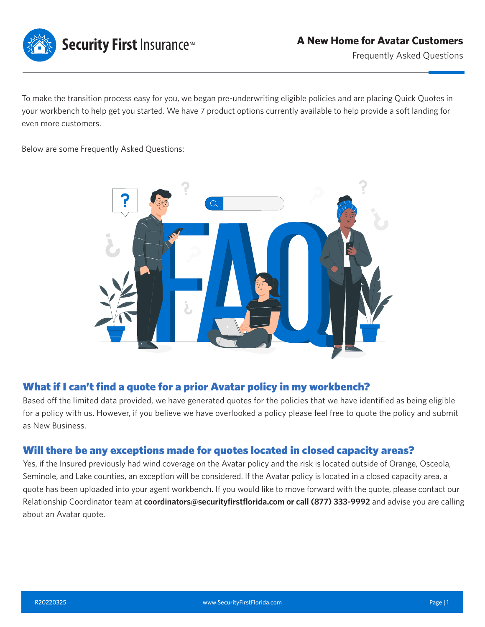

To make the transition process easy for you, we began pre-underwriting eligible policies and are placing Quick Quotes in your workbench to help get you started. We have 7 product options currently available to help provide a soft landing for even more customers.

Below are some Frequently Asked Questions:



### What if I can't find a quote for a prior Avatar policy in my workbench?

Based off the limited data provided, we have generated quotes for the policies that we have identified as being eligible for a policy with us. However, if you believe we have overlooked a policy please feel free to quote the policy and submit as New Business.

#### Will there be any exceptions made for quotes located in closed capacity areas?

Yes, if the Insured previously had wind coverage on the Avatar policy and the risk is located outside of Orange, Osceola, Seminole, and Lake counties, an exception will be considered. If the Avatar policy is located in a closed capacity area, a quote has been uploaded into your agent workbench. If you would like to move forward with the quote, please contact our Relationship Coordinator team at **coordinators@securityfirstflorida.com or call (877) 333-9992** and advise you are calling about an Avatar quote.